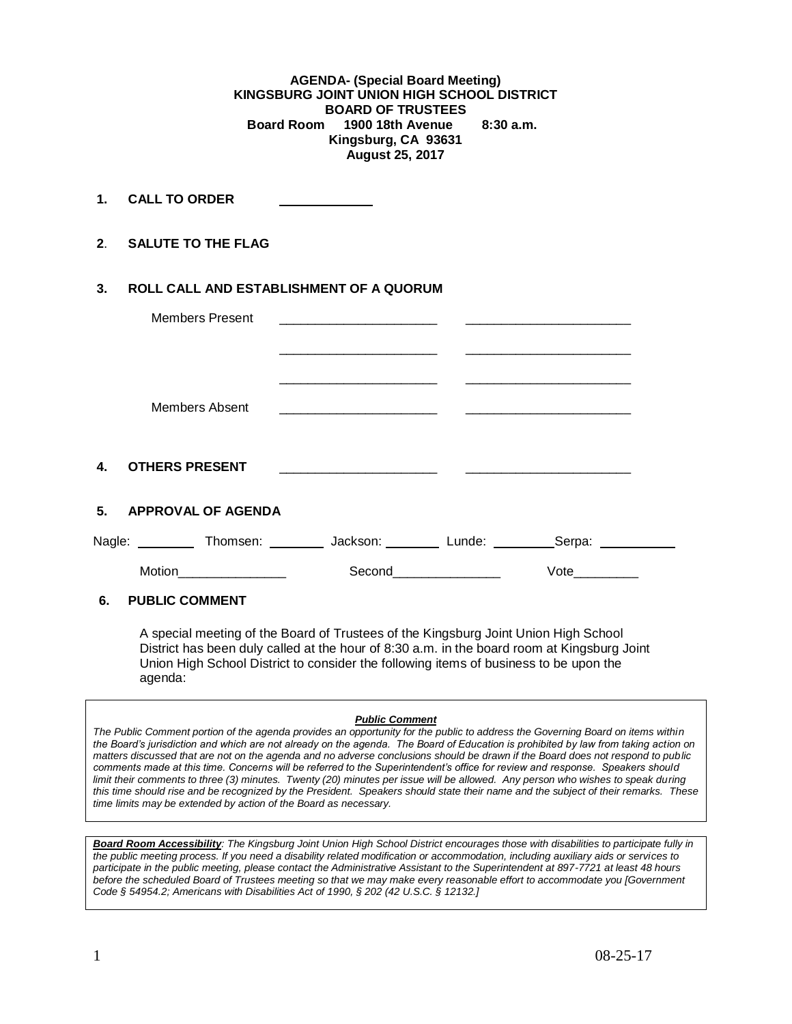**AGENDA- (Special Board Meeting) KINGSBURG JOINT UNION HIGH SCHOOL DISTRICT BOARD OF TRUSTEES Board Room 1900 18th Avenue 8:30 a.m. Kingsburg, CA 93631 August 25, 2017**

**1. CALL TO ORDER** 

**2**. **SALUTE TO THE FLAG**

## **3. ROLL CALL AND ESTABLISHMENT OF A QUORUM**

| <b>Members Present</b>                                                                      | <u> 1980 - Johann Harry Harry Harry Harry Harry Harry Harry Harry Harry Harry Harry Harry Harry Harry Harry Harry</u>                                                                                                                             |                       |                                                                                                                        |  |
|---------------------------------------------------------------------------------------------|---------------------------------------------------------------------------------------------------------------------------------------------------------------------------------------------------------------------------------------------------|-----------------------|------------------------------------------------------------------------------------------------------------------------|--|
|                                                                                             |                                                                                                                                                                                                                                                   |                       | <u> 2000 - Jan Alexander von Bernstein von Bernstein und der Stadt und der Kanades und der Stadt und der Stadt und</u> |  |
| <b>Members Absent</b>                                                                       | <u> 2000 - Jan James James Jan James James James James James James James James James James James James James Jam</u> es<br><u> 2000 - Andrea Andrew Maria (</u> ) - Andrew Maria ( ) - Andrew Maria ( ) - Andrew Maria ( ) - Andrew Maria ( ) - A |                       |                                                                                                                        |  |
| 4. OTHERS PRESENT                                                                           | <u> 1990 - Jan James James James James James James James James James James James James James James James James J</u>                                                                                                                              |                       |                                                                                                                        |  |
| 5. APPROVAL OF AGENDA                                                                       |                                                                                                                                                                                                                                                   |                       |                                                                                                                        |  |
| Nagle: ___________ Thomsen: __________ Jackson: _________ Lunde: __________Serpa: _________ |                                                                                                                                                                                                                                                   |                       |                                                                                                                        |  |
|                                                                                             |                                                                                                                                                                                                                                                   | Second_______________ | Vote                                                                                                                   |  |
| 6.<br><b>PUBLIC COMMENT</b>                                                                 |                                                                                                                                                                                                                                                   |                       |                                                                                                                        |  |

A special meeting of the Board of Trustees of the Kingsburg Joint Union High School District has been duly called at the hour of 8:30 a.m. in the board room at Kingsburg Joint Union High School District to consider the following items of business to be upon the agenda:

## *Public Comment*

*The Public Comment portion of the agenda provides an opportunity for the public to address the Governing Board on items within the Board's jurisdiction and which are not already on the agenda. The Board of Education is prohibited by law from taking action on matters discussed that are not on the agenda and no adverse conclusions should be drawn if the Board does not respond to public comments made at this time. Concerns will be referred to the Superintendent's office for review and response. Speakers should limit their comments to three (3) minutes. Twenty (20) minutes per issue will be allowed. Any person who wishes to speak during this time should rise and be recognized by the President. Speakers should state their name and the subject of their remarks. These time limits may be extended by action of the Board as necessary.*

*Board Room Accessibility: The Kingsburg Joint Union High School District encourages those with disabilities to participate fully in the public meeting process. If you need a disability related modification or accommodation, including auxiliary aids or services to participate in the public meeting, please contact the Administrative Assistant to the Superintendent at 897-7721 at least 48 hours before the scheduled Board of Trustees meeting so that we may make every reasonable effort to accommodate you [Government Code § 54954.2; Americans with Disabilities Act of 1990, § 202 (42 U.S.C. § 12132.]*